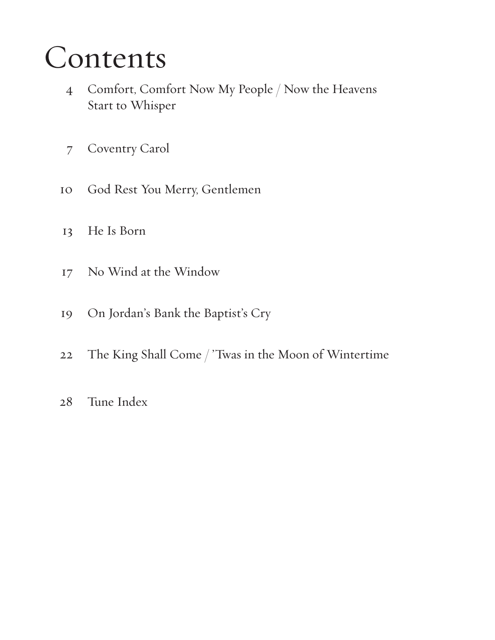# Contents

- 4 Comfort, Comfort Now My People / Now the Heavens Start to Whisper
- 7 Coventry Carol
- 10 God Rest You Merry, Gentlemen
- 13 He Is Born
- 17 No Wind at the Window
- 19 On Jordan's Bank the Baptist's Cry
- 22 The King Shall Come / 'Twas in the Moon of Wintertime
- 28 Tune Index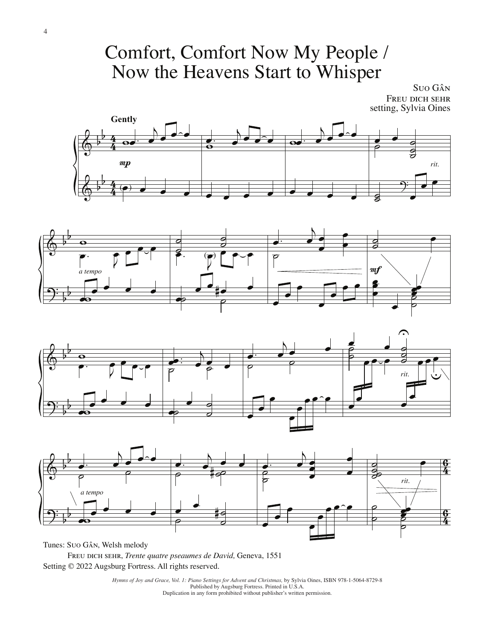#### Comfort, Comfort Now My People / Now the Heavens Start to Whisper

Suo Gân FREU DICH SEHR setting, Sylvia Oines









Tunes: Suo Gân, Welsh melody Setting © 2022 Augsburg Fortress. All rights reserved. Freu dich sehr, *Trente quatre pseaumes de David,* Geneva, 1551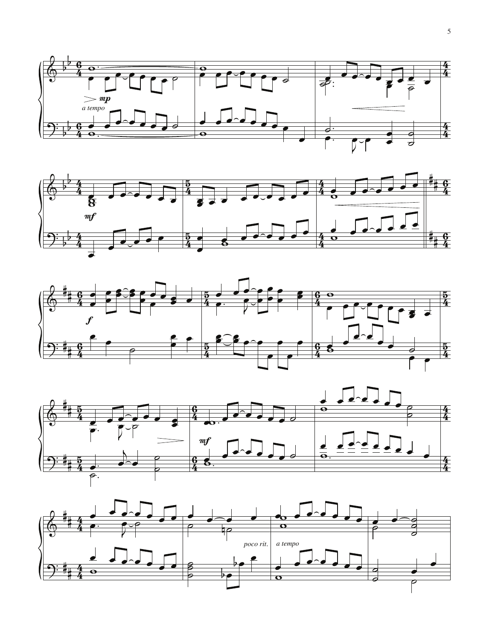







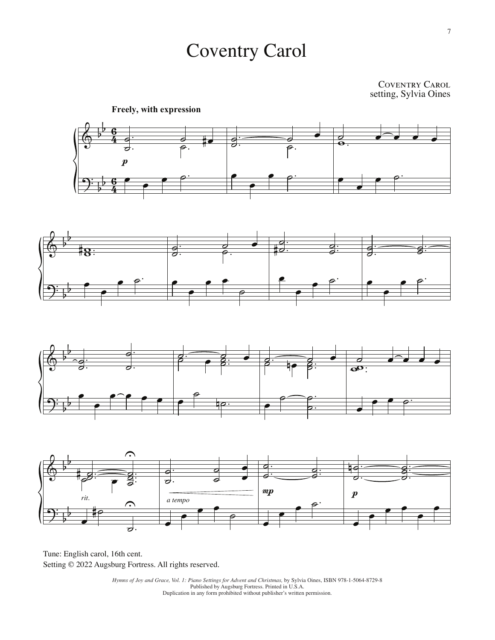## Coventry Carol

COVENTRY CAROL setting, Sylvia Oines









Tune: English carol, 16th cent. Setting © 2022 Augsburg Fortress. All rights reserved.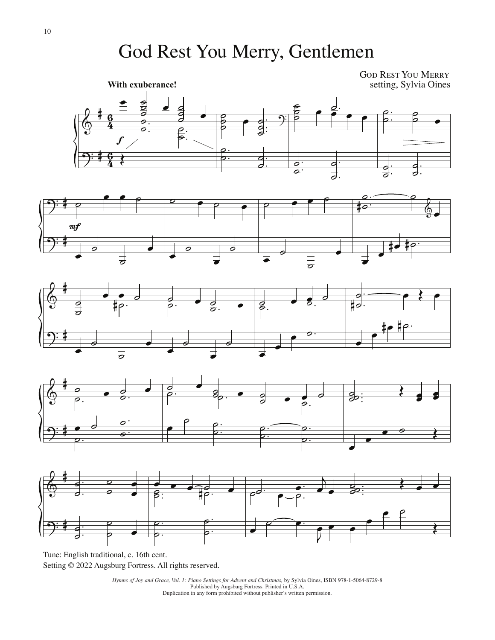God Rest You Merry, Gentlemen











Tune: English traditional, c. 16th cent. Setting © 2022 Augsburg Fortress. All rights reserved.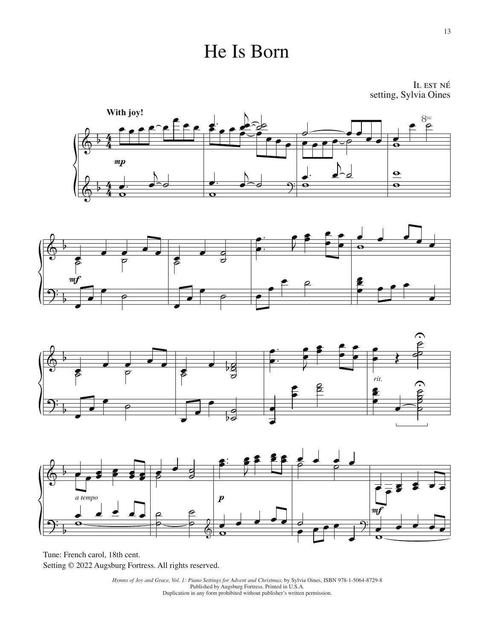#### He Is Born

Il est né setting, Sylvia Oines









Tune: French carol, 18th cent. Setting © 2022 Augsburg Fortress. All rights reserved.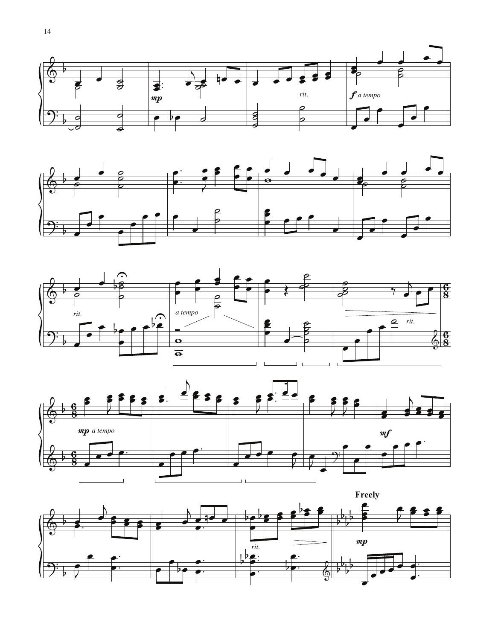







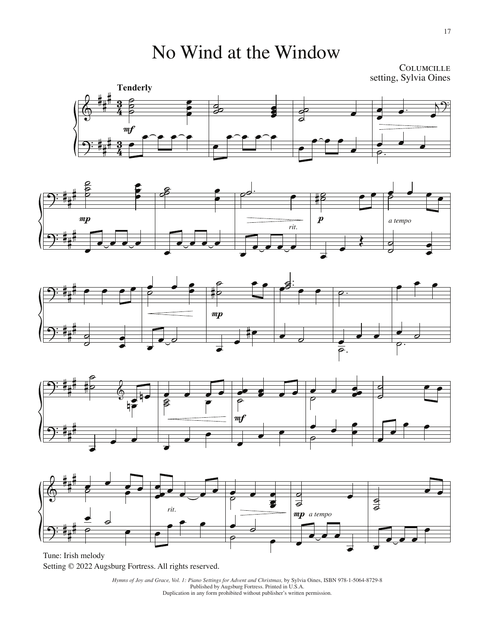No Wind at the Window

**COLUMCILLE** setting, Sylvia Oines











Setting © 2022 Augsburg Fortress. All rights reserved.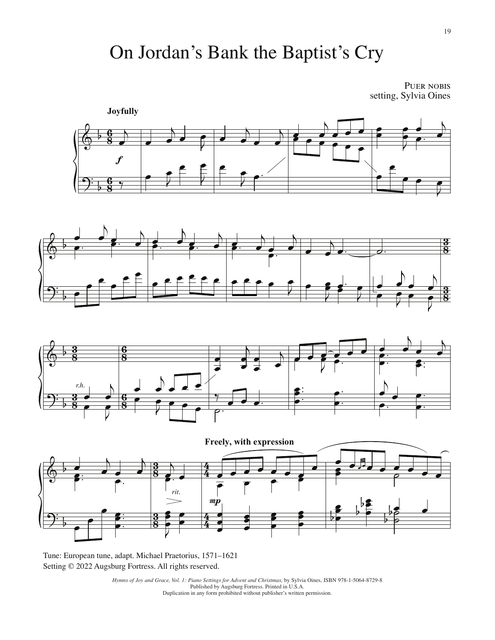## On Jordan's Bank the Baptist's Cry

PUER NOBIS setting, Sylvia Oines









Tune: European tune, adapt. Michael Praetorius, 1571–1621 Setting © 2022 Augsburg Fortress. All rights reserved.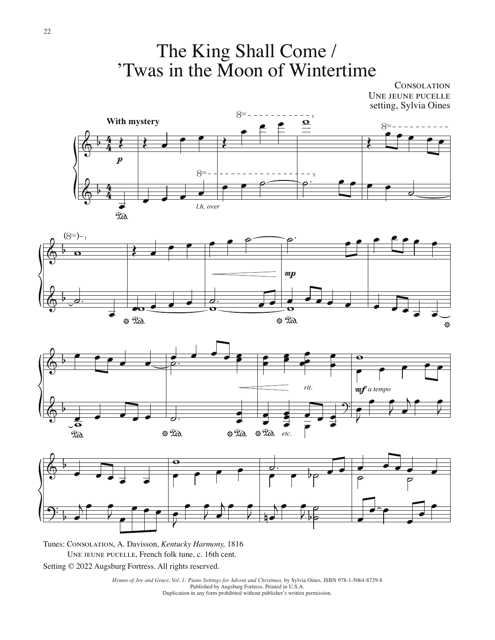#### The King Shall Come / 'Twas in the Moon of Wintertime

**CONSOLATION** Une jeune pucelle setting, Sylvia Oines









Tunes: Consolation, A. Davisson, *Kentucky Harmony,* 1816 UNE JEUNE PUCELLE, French folk tune, c. 16th cent.

Setting © 2022 Augsburg Fortress. All rights reserved.